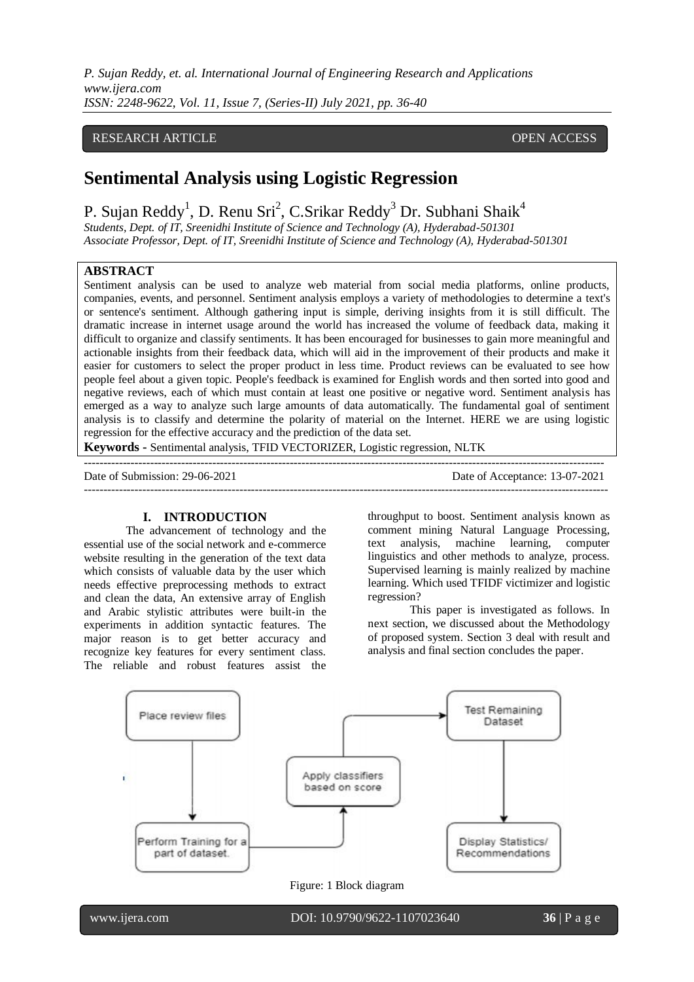*P. Sujan Reddy, et. al. International Journal of Engineering Research and Applications www.ijera.com ISSN: 2248-9622, Vol. 11, Issue 7, (Series-II) July 2021, pp. 36-40*

# RESEARCH ARTICLE **CONSERVERS** OPEN ACCESS

# **Sentimental Analysis using Logistic Regression**

P. Sujan Reddy<sup>1</sup>, D. Renu Sri<sup>2</sup>, C.Srikar Reddy<sup>3</sup> Dr. Subhani Shaik<sup>4</sup>

*Students, Dept. of IT, Sreenidhi Institute of Science and Technology (A), Hyderabad-501301 Associate Professor, Dept. of IT, Sreenidhi Institute of Science and Technology (A), Hyderabad-501301*

# **ABSTRACT**

Sentiment analysis can be used to analyze web material from social media platforms, online products, companies, events, and personnel. Sentiment analysis employs a variety of methodologies to determine a text's or sentence's sentiment. Although gathering input is simple, deriving insights from it is still difficult. The dramatic increase in internet usage around the world has increased the volume of feedback data, making it difficult to organize and classify sentiments. It has been encouraged for businesses to gain more meaningful and actionable insights from their feedback data, which will aid in the improvement of their products and make it easier for customers to select the proper product in less time. Product reviews can be evaluated to see how people feel about a given topic. People's feedback is examined for English words and then sorted into good and negative reviews, each of which must contain at least one positive or negative word. Sentiment analysis has emerged as a way to analyze such large amounts of data automatically. The fundamental goal of sentiment analysis is to classify and determine the polarity of material on the Internet. HERE we are using logistic regression for the effective accuracy and the prediction of the data set.

--------------------------------------------------------------------------------------------------------------------------------------

---------------------------------------------------------------------------------------------------------------------------------------

**Keywords -** Sentimental analysis, TFID VECTORIZER, Logistic regression, NLTK

Date of Submission: 29-06-2021 Date of Acceptance: 13-07-2021

# **I. INTRODUCTION**

The advancement of technology and the essential use of the social network and e-commerce website resulting in the generation of the text data which consists of valuable data by the user which needs effective preprocessing methods to extract and clean the data, An extensive array of English and Arabic stylistic attributes were built-in the experiments in addition syntactic features. The major reason is to get better accuracy and recognize key features for every sentiment class. The reliable and robust features assist the

throughput to boost. Sentiment analysis known as comment mining Natural Language Processing, text analysis, machine learning, computer linguistics and other methods to analyze, process. Supervised learning is mainly realized by machine learning. Which used TFIDF victimizer and logistic regression?

This paper is investigated as follows. In next section, we discussed about the Methodology of proposed system. Section 3 deal with result and analysis and final section concludes the paper.



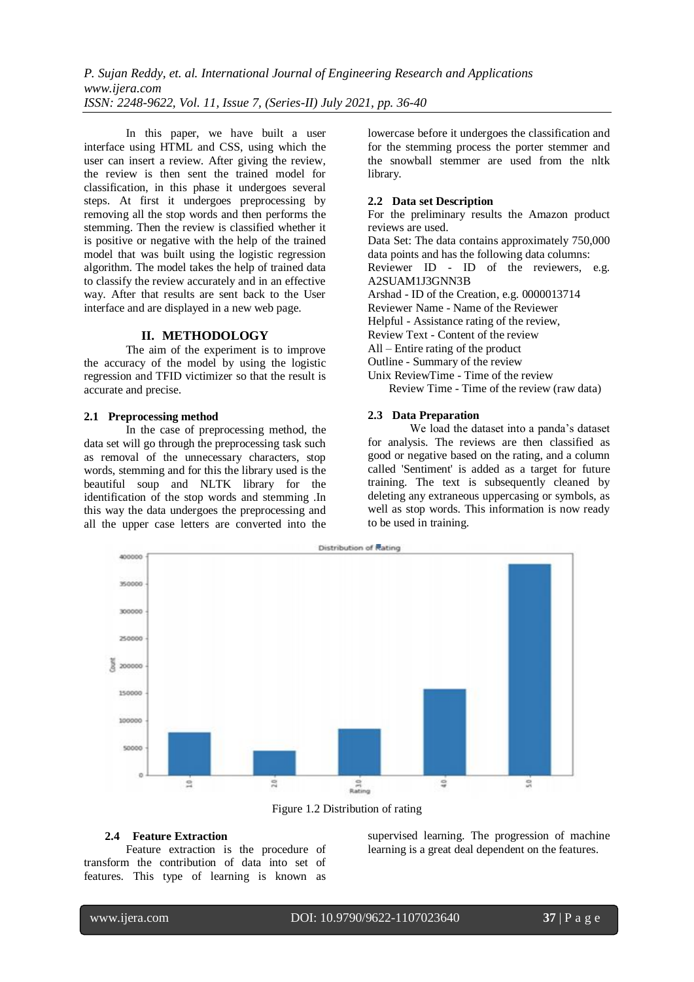*P. Sujan Reddy, et. al. International Journal of Engineering Research and Applications www.ijera.com ISSN: 2248-9622, Vol. 11, Issue 7, (Series-II) July 2021, pp. 36-40*

In this paper, we have built a user interface using HTML and CSS, using which the user can insert a review. After giving the review, the review is then sent the trained model for classification, in this phase it undergoes several steps. At first it undergoes preprocessing by removing all the stop words and then performs the stemming. Then the review is classified whether it is positive or negative with the help of the trained model that was built using the logistic regression algorithm. The model takes the help of trained data to classify the review accurately and in an effective way. After that results are sent back to the User interface and are displayed in a new web page.

#### **II. METHODOLOGY**

The aim of the experiment is to improve the accuracy of the model by using the logistic regression and TFID victimizer so that the result is accurate and precise.

# **2.1 Preprocessing method**

In the case of preprocessing method, the data set will go through the preprocessing task such as removal of the unnecessary characters, stop words, stemming and for this the library used is the beautiful soup and NLTK library for the identification of the stop words and stemming .In this way the data undergoes the preprocessing and all the upper case letters are converted into the

lowercase before it undergoes the classification and for the stemming process the porter stemmer and the snowball stemmer are used from the nltk library.

# **2.2 Data set Description**

For the preliminary results the Amazon product reviews are used. Data Set: The data contains approximately 750,000 data points and has the following data columns: Reviewer ID - ID of the reviewers, e.g. A2SUAM1J3GNN3B Arshad - ID of the Creation, e.g. 0000013714 Reviewer Name - Name of the Reviewer Helpful - Assistance rating of the review, Review Text - Content of the review All – Entire rating of the product Outline - Summary of the review Unix ReviewTime - Time of the review Review Time - Time of the review (raw data)

# **2.3 Data Preparation**

We load the dataset into a panda's dataset for analysis. The reviews are then classified as good or negative based on the rating, and a column called 'Sentiment' is added as a target for future training. The text is subsequently cleaned by deleting any extraneous uppercasing or symbols, as well as stop words. This information is now ready to be used in training.



Figure 1.2 Distribution of rating

# **2.4 Feature Extraction**

Feature extraction is the procedure of transform the contribution of data into set of features. This type of learning is known as supervised learning. The progression of machine learning is a great deal dependent on the features.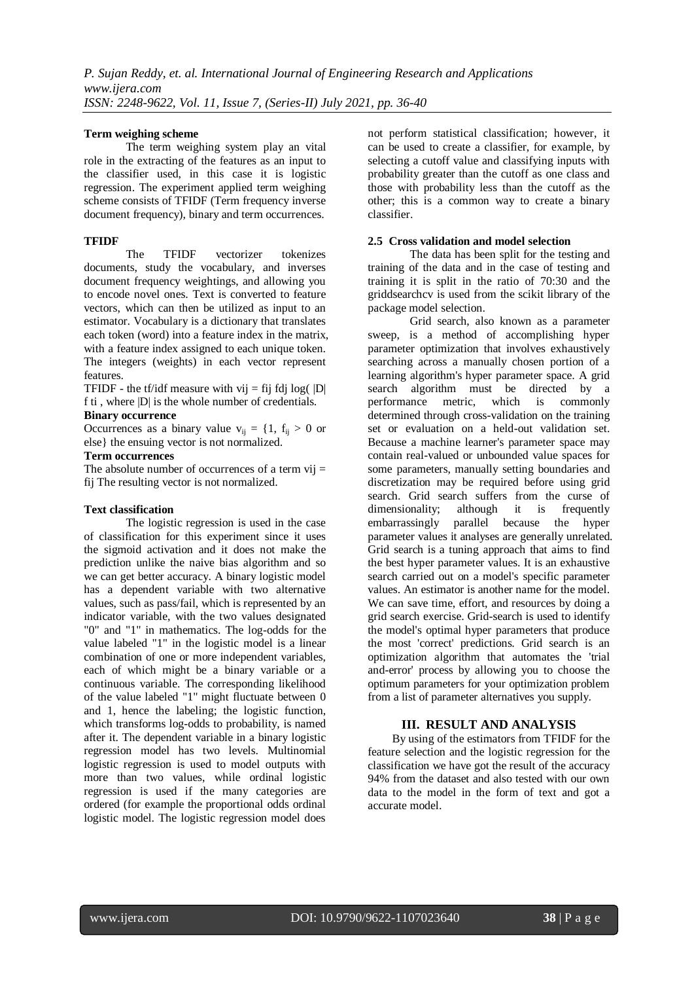# **Term weighing scheme**

The term weighing system play an vital role in the extracting of the features as an input to the classifier used, in this case it is logistic regression. The experiment applied term weighing scheme consists of TFIDF (Term frequency inverse document frequency), binary and term occurrences.

# **TFIDF**

The TFIDF vectorizer tokenizes documents, study the vocabulary, and inverses document frequency weightings, and allowing you to encode novel ones. Text is converted to feature vectors, which can then be utilized as input to an estimator. Vocabulary is a dictionary that translates each token (word) into a feature index in the matrix, with a feature index assigned to each unique token. The integers (weights) in each vector represent features.

TFIDF - the tf/idf measure with vij  $=$  fij fdj log( $|D|$ f ti , where |D| is the whole number of credentials.

#### **Binary occurrence**

Occurrences as a binary value  $v_{ii} = \{1, f_{ii} > 0 \text{ or }$ else} the ensuing vector is not normalized.

#### **Term occurrences**

The absolute number of occurrences of a term  $vii =$ fij The resulting vector is not normalized.

## **Text classification**

The logistic regression is used in the case of classification for this experiment since it uses the sigmoid activation and it does not make the prediction unlike the naive bias algorithm and so we can get better accuracy. A binary logistic model has a dependent variable with two alternative values, such as pass/fail, which is represented by an indicator variable, with the two values designated "0" and "1" in mathematics. The log-odds for the value labeled "1" in the logistic model is a linear combination of one or more independent variables, each of which might be a binary variable or a continuous variable. The corresponding likelihood of the value labeled "1" might fluctuate between 0 and 1, hence the labeling; the logistic function, which transforms log-odds to probability, is named after it. The dependent variable in a binary logistic regression model has two levels. Multinomial logistic regression is used to model outputs with more than two values, while ordinal logistic regression is used if the many categories are ordered (for example the proportional odds ordinal logistic model. The logistic regression model does

not perform statistical classification; however, it can be used to create a classifier, for example, by selecting a cutoff value and classifying inputs with probability greater than the cutoff as one class and those with probability less than the cutoff as the other; this is a common way to create a binary classifier.

# **2.5 Cross validation and model selection**

The data has been split for the testing and training of the data and in the case of testing and training it is split in the ratio of 70:30 and the griddsearchcv is used from the scikit library of the package model selection.

Grid search, also known as a parameter sweep, is a method of accomplishing hyper parameter optimization that involves exhaustively searching across a manually chosen portion of a learning algorithm's hyper parameter space. A grid search algorithm must be directed by a performance metric, which is commonly determined through cross-validation on the training set or evaluation on a held-out validation set. Because a machine learner's parameter space may contain real-valued or unbounded value spaces for some parameters, manually setting boundaries and discretization may be required before using grid search. Grid search suffers from the curse of dimensionality; although it is frequently embarrassingly parallel because the hyper parameter values it analyses are generally unrelated. Grid search is a tuning approach that aims to find the best hyper parameter values. It is an exhaustive search carried out on a model's specific parameter values. An estimator is another name for the model. We can save time, effort, and resources by doing a grid search exercise. Grid-search is used to identify the model's optimal hyper parameters that produce the most 'correct' predictions. Grid search is an optimization algorithm that automates the 'trial and-error' process by allowing you to choose the optimum parameters for your optimization problem from a list of parameter alternatives you supply.

# **III. RESULT AND ANALYSIS**

By using of the estimators from TFIDF for the feature selection and the logistic regression for the classification we have got the result of the accuracy 94% from the dataset and also tested with our own data to the model in the form of text and got a accurate model.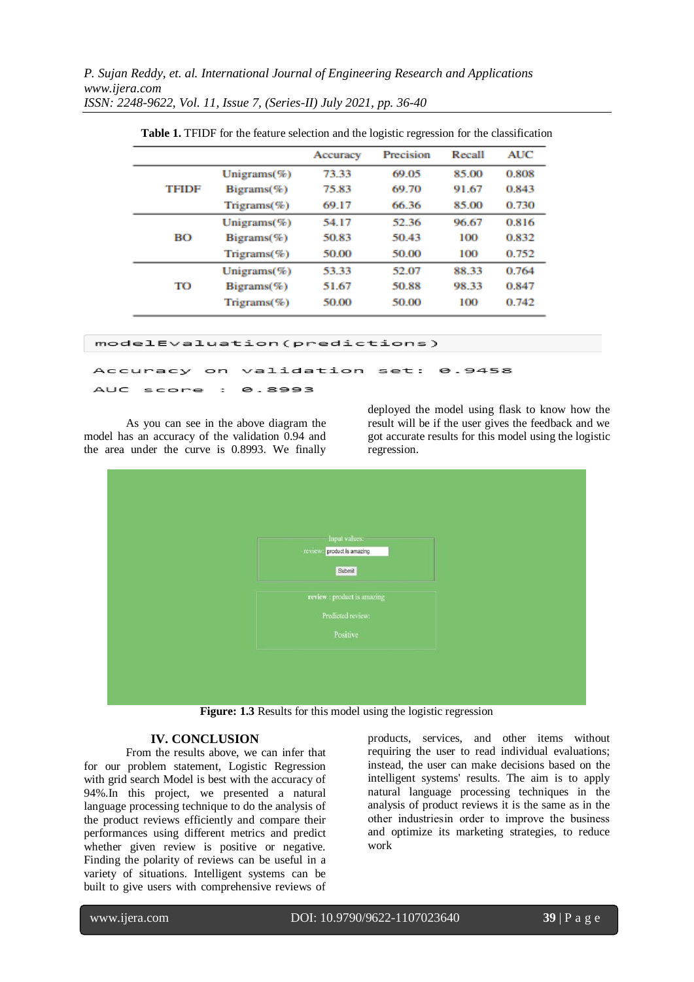*P. Sujan Reddy, et. al. International Journal of Engineering Research and Applications www.ijera.com ISSN: 2248-9622, Vol. 11, Issue 7, (Series-II) July 2021, pp. 36-40*

|              |                   | Accuracy | Precision | Recall | <b>AUC</b> |
|--------------|-------------------|----------|-----------|--------|------------|
| <b>TFIDF</b> | Unigrams $(\%)$   | 73.33    | 69.05     | 85.00  | 0.808      |
|              | $Bigrams(\%)$     | 75.83    | 69.70     | 91.67  | 0.843      |
|              | $T$ ngrams $(\%)$ | 69.17    | 66.36     | 85.00  | 0.730      |
| BО           | Unigrams $(\%)$   | 54.17    | 52.36     | 96.67  | 0.816      |
|              | $Bigrams(\%)$     | 50.83    | 50.43     | 100    | 0.832      |
|              | $T$ ngrams $(\%)$ | 50.00    | 50.00     | 100    | 0.752      |
| TO           | Unigrams $(\%)$   | 53.33    | 52.07     | 88.33  | 0.764      |
|              | $Bigrams(\%)$     | 51.67    | 50.88     | 98.33  | 0.847      |
|              | $T$ ngrams $(\%)$ | 50.00    | 50.00     | 100    | 0.742      |

**Table 1.** TFIDF for the feature selection and the logistic regression for the classification

modelEvaluation(predictions)

validation Accuracy  $set:$ 8.9458  $\circ$ n

**AUC** 8.8993 score  $\overline{a}$ 

As you can see in the above diagram the model has an accuracy of the validation 0.94 and the area under the curve is 0.8993. We finally

deployed the model using flask to know how the result will be if the user gives the feedback and we got accurate results for this model using the logistic regression.



**Figure: 1.3** Results for this model using the logistic regression

#### **IV. CONCLUSION**

From the results above, we can infer that for our problem statement, Logistic Regression with grid search Model is best with the accuracy of 94%.In this project, we presented a natural language processing technique to do the analysis of the product reviews efficiently and compare their performances using different metrics and predict whether given review is positive or negative. Finding the polarity of reviews can be useful in a variety of situations. Intelligent systems can be built to give users with comprehensive reviews of

products, services, and other items without requiring the user to read individual evaluations; instead, the user can make decisions based on the intelligent systems' results. The aim is to apply natural language processing techniques in the analysis of product reviews it is the same as in the other industries in order to improve the business and optimize its marketing strategies, to reduce work